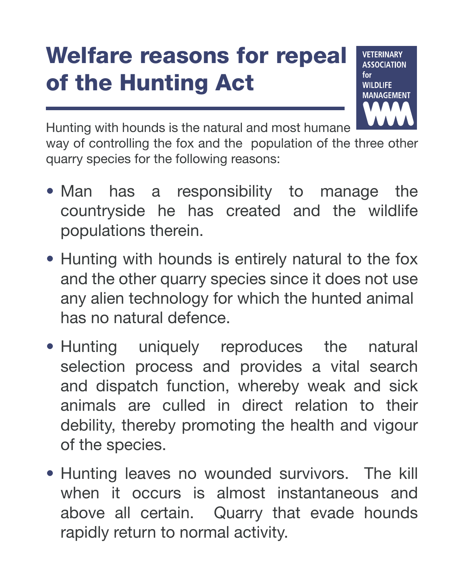## Welfare reasons for repeal of the Hunting Act



Hunting with hounds is the natural and most humane

way of controlling the fox and the population of the three other quarry species for the following reasons:

- Man has a responsibility to manage the countryside he has created and the wildlife populations therein.
- Hunting with hounds is entirely natural to the fox and the other quarry species since it does not use any alien technology for which the hunted animal has no natural defence.
- Hunting uniquely reproduces the natural selection process and provides a vital search and dispatch function, whereby weak and sick animals are culled in direct relation to their debility, thereby promoting the health and vigour of the species.
- Hunting leaves no wounded survivors. The kill when it occurs is almost instantaneous and above all certain. Quarry that evade hounds rapidly return to normal activity.